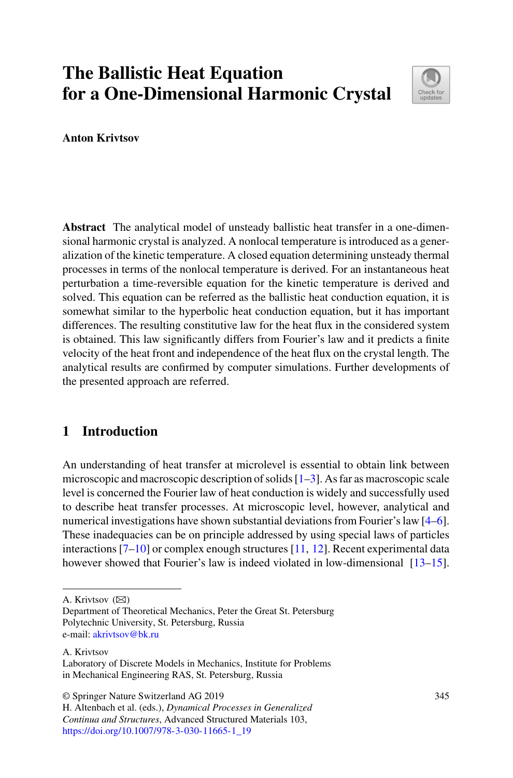# **The Ballistic Heat Equation for a One-Dimensional Harmonic Crystal**



**Anton Krivtsov**

**Abstract** The analytical model of unsteady ballistic heat transfer in a one-dimensional harmonic crystal is analyzed. A nonlocal temperature is introduced as a generalization of the kinetic temperature. A closed equation determining unsteady thermal processes in terms of the nonlocal temperature is derived. For an instantaneous heat perturbation a time-reversible equation for the kinetic temperature is derived and solved. This equation can be referred as the ballistic heat conduction equation, it is somewhat similar to the hyperbolic heat conduction equation, but it has important differences. The resulting constitutive law for the heat flux in the considered system is obtained. This law significantly differs from Fourier's law and it predicts a finite velocity of the heat front and independence of the heat flux on the crystal length. The analytical results are confirmed by computer simulations. Further developments of the presented approach are referred.

# **1 Introduction**

An understanding of heat transfer at microlevel is essential to obtain link between microscopic and macroscopic description of solids  $[1-3]$ . As far as macroscopic scale level is concerned the Fourier law of heat conduction is widely and successfully used to describe heat transfer processes. At microscopic level, however, analytical and numerical investigations have shown substantial deviations from Fourier's law [4–6]. These inadequacies can be on principle addressed by using special laws of particles interactions  $[7-10]$  or complex enough structures  $[11, 12]$ . Recent experimental data however showed that Fourier's law is indeed violated in low-dimensional [13–15].

A. Krivtsov (⊠)

A. Krivtsov

© Springer Nature Switzerland AG 2019

Department of Theoretical Mechanics, Peter the Great St. Petersburg Polytechnic University, St. Petersburg, Russia e-mail: [akrivtsov@bk.ru](mailto:akrivtsov@bk.ru)

Laboratory of Discrete Models in Mechanics, Institute for Problems in Mechanical Engineering RAS, St. Petersburg, Russia

H. Altenbach et al. (eds.), *Dynamical Processes in Generalized Continua and Structures*, Advanced Structured Materials 103, [https://doi.org/10.1007/978-3-030-11665-1\\_19](https://doi.org/10.1007/978-3-030-11665-1_19)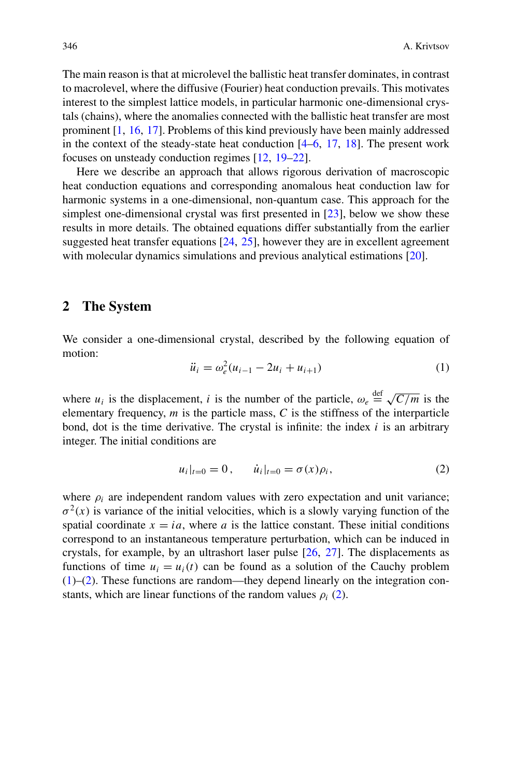The main reason is that at microlevel the ballistic heat transfer dominates, in contrast to macrolevel, where the diffusive (Fourier) heat conduction prevails. This motivates interest to the simplest lattice models, in particular harmonic one-dimensional crystals (chains), where the anomalies connected with the ballistic heat transfer are most prominent [1, 16, 17]. Problems of this kind previously have been mainly addressed in the context of the steady-state heat conduction  $[4–6, 17, 18]$ . The present work focuses on unsteady conduction regimes [12, 19–22].

Here we describe an approach that allows rigorous derivation of macroscopic heat conduction equations and corresponding anomalous heat conduction law for harmonic systems in a one-dimensional, non-quantum case. This approach for the simplest one-dimensional crystal was first presented in [23], below we show these results in more details. The obtained equations differ substantially from the earlier suggested heat transfer equations  $[24, 25]$ , however they are in excellent agreement with molecular dynamics simulations and previous analytical estimations [20].

#### **2 The System**

We consider a one-dimensional crystal, described by the following equation of motion:

$$
\ddot{u}_i = \omega_e^2 (u_{i-1} - 2u_i + u_{i+1})
$$
\n(1)

where  $u_i$  is the displacement, *i* is the number of the particle,  $\omega_e \stackrel{\text{def}}{=} \sqrt{C/m}$  is the elementary frequency,  $m$  is the particle mass,  $C$  is the stiffness of the interparticle bond, dot is the time derivative. The crystal is infinite: the index *i* is an arbitrary integer. The initial conditions are

$$
u_i|_{t=0} = 0, \qquad \dot{u}_i|_{t=0} = \sigma(x)\rho_i,
$$
 (2)

where  $\rho_i$  are independent random values with zero expectation and unit variance;  $\sigma^2(x)$  is variance of the initial velocities, which is a slowly varying function of the spatial coordinate  $x = ia$ , where *a* is the lattice constant. These initial conditions correspond to an instantaneous temperature perturbation, which can be induced in crystals, for example, by an ultrashort laser pulse [26, 27]. The displacements as functions of time  $u_i = u_i(t)$  can be found as a solution of the Cauchy problem [\(1\)](#page-7-0)–[\(2\)](#page-7-0). These functions are random—they depend linearly on the integration constants, which are linear functions of the random values  $\rho_i$  [\(2\)](#page-7-0).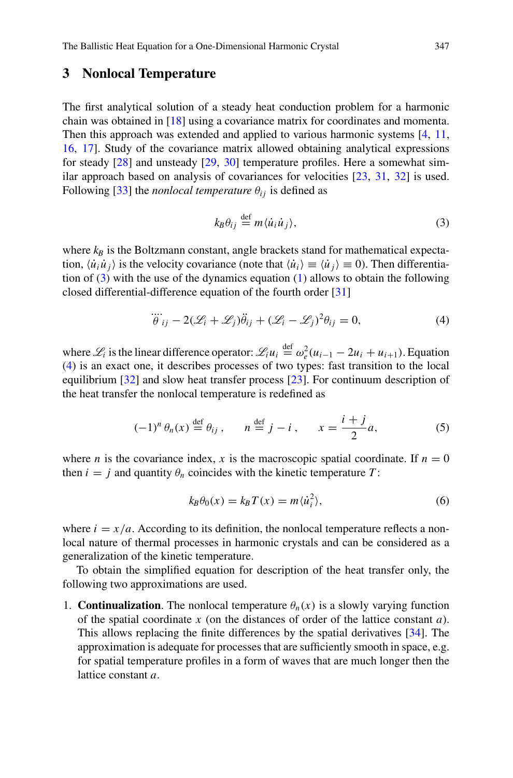### **3 Nonlocal Temperature**

The first analytical solution of a steady heat conduction problem for a harmonic chain was obtained in [18] using a covariance matrix for coordinates and momenta. Then this approach was extended and applied to various harmonic systems [4, 11, 16, 17]. Study of the covariance matrix allowed obtaining analytical expressions for steady [28] and unsteady [29, 30] temperature profiles. Here a somewhat similar approach based on analysis of covariances for velocities [23, 31, 32] is used. Following [33] the *nonlocal temperature*  $\theta_{ij}$  is defined as

$$
k_B \theta_{ij} \stackrel{\text{def}}{=} m \langle \dot{u}_i \dot{u}_j \rangle, \tag{3}
$$

where  $k_B$  is the Boltzmann constant, angle brackets stand for mathematical expectation,  $\langle \dot{u}_i \dot{u}_j \rangle$  is the velocity covariance (note that  $\langle \dot{u}_i \rangle \equiv \langle \dot{u}_j \rangle \equiv 0$ ). Then differentiation of [\(3\)](#page-8-0) with the use of the dynamics equation [\(1\)](#page-7-0) allows to obtain the following closed differential-difference equation of the fourth order [31]

$$
\dddot{\theta}_{ij} - 2(\mathcal{L}_i + \mathcal{L}_j)\ddot{\theta}_{ij} + (\mathcal{L}_i - \mathcal{L}_j)^2 \theta_{ij} = 0, \tag{4}
$$

where  $\mathcal{L}_i$  is the linear difference operator:  $\mathcal{L}_i u_i \stackrel{\text{def}}{=} \omega_e^2(u_{i-1} - 2u_i + u_{i+1})$ . Equation [\(4\)](#page-8-0) is an exact one, it describes processes of two types: fast transition to the local equilibrium [32] and slow heat transfer process [23]. For continuum description of the heat transfer the nonlocal temperature is redefined as

$$
(-1)^n \theta_n(x) \stackrel{\text{def}}{=} \theta_{ij}, \qquad n \stackrel{\text{def}}{=} j - i \,, \qquad x = \frac{i + j}{2} a,\tag{5}
$$

where *n* is the covariance index, *x* is the macroscopic spatial coordinate. If  $n = 0$ then  $i = j$  and quantity  $\theta_n$  coincides with the kinetic temperature  $T$ :

$$
k_B \theta_0(x) = k_B T(x) = m \langle \dot{u}_i^2 \rangle,
$$
\n<sup>(6)</sup>

where  $i = x/a$ . According to its definition, the nonlocal temperature reflects a nonlocal nature of thermal processes in harmonic crystals and can be considered as a generalization of the kinetic temperature.

To obtain the simplified equation for description of the heat transfer only, the following two approximations are used.

1. **Continualization**. The nonlocal temperature  $\theta_n(x)$  is a slowly varying function of the spatial coordinate *x* (on the distances of order of the lattice constant *a*). This allows replacing the finite differences by the spatial derivatives [34]. The approximation is adequate for processes that are sufficiently smooth in space, e.g. for spatial temperature profiles in a form of waves that are much longer then the lattice constant *a*.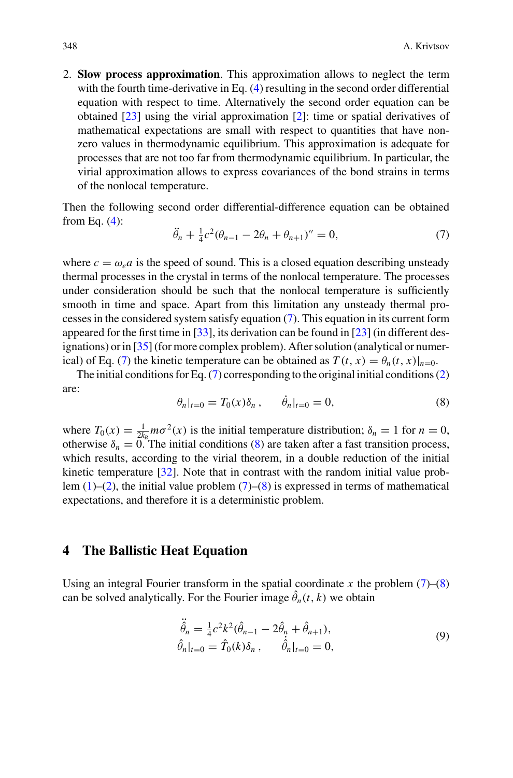2. **Slow process approximation**. This approximation allows to neglect the term with the fourth time-derivative in Eq. [\(4\)](#page-8-0) resulting in the second order differential equation with respect to time. Alternatively the second order equation can be obtained [23] using the virial approximation [2]: time or spatial derivatives of mathematical expectations are small with respect to quantities that have nonzero values in thermodynamic equilibrium. This approximation is adequate for processes that are not too far from thermodynamic equilibrium. In particular, the virial approximation allows to express covariances of the bond strains in terms of the nonlocal temperature.

Then the following second order differential-difference equation can be obtained from Eq.  $(4)$ :

$$
\ddot{\theta}_n + \frac{1}{4}c^2(\theta_{n-1} - 2\theta_n + \theta_{n+1})'' = 0,\tag{7}
$$

where  $c = \omega_e a$  is the speed of sound. This is a closed equation describing unsteady thermal processes in the crystal in terms of the nonlocal temperature. The processes under consideration should be such that the nonlocal temperature is sufficiently smooth in time and space. Apart from this limitation any unsteady thermal processes in the considered system satisfy equation [\(7\)](#page-9-0). This equation in its current form appeared for the first time in [33], its derivation can be found in [23] (in different designations) or in [35] (for more complex problem). After solution (analytical or numer-ical) of Eq. [\(7\)](#page-9-0) the kinetic temperature can be obtained as  $T(t, x) = \theta_n(t, x)|_{n=0}$ .

The initial conditions for Eq.  $(7)$  corresponding to the original initial conditions  $(2)$ are:

$$
\theta_n|_{t=0} = T_0(x)\delta_n, \qquad \dot{\theta}_n|_{t=0} = 0,
$$
\n(8)

where  $T_0(x) = \frac{1}{2k_B} m \sigma^2(x)$  is the initial temperature distribution;  $\delta_n = 1$  for  $n = 0$ , otherwise  $\delta_n = 0$ . The initial conditions [\(8\)](#page-9-0) are taken after a fast transition process, which results, according to the virial theorem, in a double reduction of the initial kinetic temperature [32]. Note that in contrast with the random initial value problem  $(1)$ – $(2)$ , the initial value problem  $(7)$ – $(8)$  is expressed in terms of mathematical expectations, and therefore it is a deterministic problem.

### **4 The Ballistic Heat Equation**

Using an integral Fourier transform in the spatial coordinate  $x$  the problem  $(7)$ – $(8)$ can be solved analytically. For the Fourier image  $\theta_n(t, k)$  we obtain

$$
\hat{\hat{\theta}}_n = \frac{1}{4}c^2 k^2 (\hat{\theta}_{n-1} - 2\hat{\theta}_n + \hat{\theta}_{n+1}), \n\hat{\theta}_n|_{t=0} = \hat{T}_0(k)\delta_n, \qquad \hat{\hat{\theta}}_n|_{t=0} = 0,
$$
\n(9)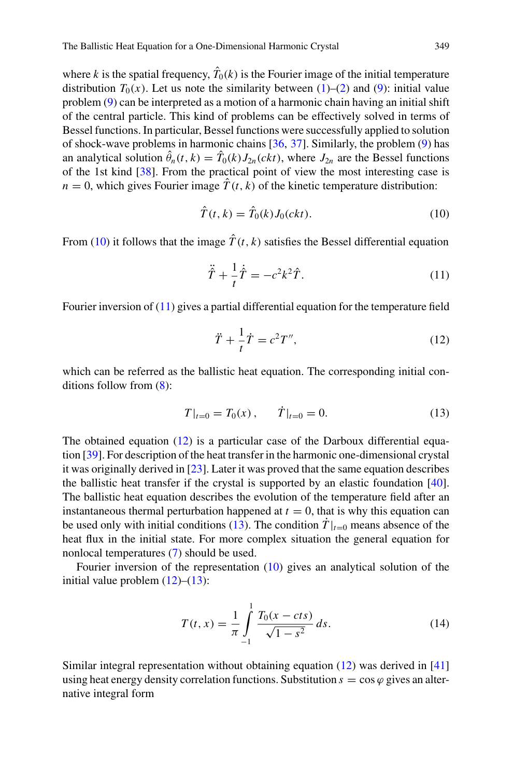where  $k$  is the spatial frequency,  $T_0(k)$  is the Fourier image of the initial temperature distribution  $T_0(x)$ . Let us note the similarity between [\(1\)](#page-7-0)–[\(2\)](#page-7-0) and [\(9\)](#page-9-0): initial value problem [\(9\)](#page-9-0) can be interpreted as a motion of a harmonic chain having an initial shift of the central particle. This kind of problems can be effectively solved in terms of Bessel functions. In particular, Bessel functions were successfully applied to solution of shock-wave problems in harmonic chains [36, 37]. Similarly, the problem [\(9\)](#page-9-0) has an analytical solution  $\theta_n(t, k) = T_0(k) J_{2n}(ckt)$ , where  $J_{2n}$  are the Bessel functions of the 1st kind [38]. From the practical point of view the most interesting case is  $n = 0$ , which gives Fourier image  $\hat{T}(t, k)$  of the kinetic temperature distribution:

$$
\ddot{T}(t,k) = \ddot{T}_0(k)J_0(ckt). \tag{10}
$$

From [\(10\)](#page-10-0) it follows that the image  $\hat{T}(t, k)$  satisfies the Bessel differential equation

$$
\ddot{\hat{T}} + \frac{1}{t}\dot{\hat{T}} = -c^2k^2\hat{T}.
$$
 (11)

Fourier inversion of  $(11)$  gives a partial differential equation for the temperature field

$$
\ddot{T} + \frac{1}{t}\dot{T} = c^2 T'',\tag{12}
$$

which can be referred as the ballistic heat equation. The corresponding initial conditions follow from [\(8\)](#page-9-0):

$$
T|_{t=0} = T_0(x), \qquad T|_{t=0} = 0.
$$
 (13)

The obtained equation [\(12\)](#page-10-0) is a particular case of the Darboux differential equation [39]. For description of the heat transfer in the harmonic one-dimensional crystal it was originally derived in [23]. Later it was proved that the same equation describes the ballistic heat transfer if the crystal is supported by an elastic foundation [40]. The ballistic heat equation describes the evolution of the temperature field after an instantaneous thermal perturbation happened at  $t = 0$ , that is why this equation can be used only with initial conditions [\(13\)](#page-10-0). The condition  $\dot{T}|_{t=0}$  means absence of the heat flux in the initial state. For more complex situation the general equation for nonlocal temperatures [\(7\)](#page-9-0) should be used.

Fourier inversion of the representation [\(10\)](#page-10-0) gives an analytical solution of the initial value problem  $(12)$ – $(13)$ :

$$
T(t,x) = \frac{1}{\pi} \int_{-1}^{1} \frac{T_0(x - cts)}{\sqrt{1 - s^2}} ds.
$$
 (14)

Similar integral representation without obtaining equation [\(12\)](#page-10-0) was derived in [41] using heat energy density correlation functions. Substitution  $s = \cos \varphi$  gives an alternative integral form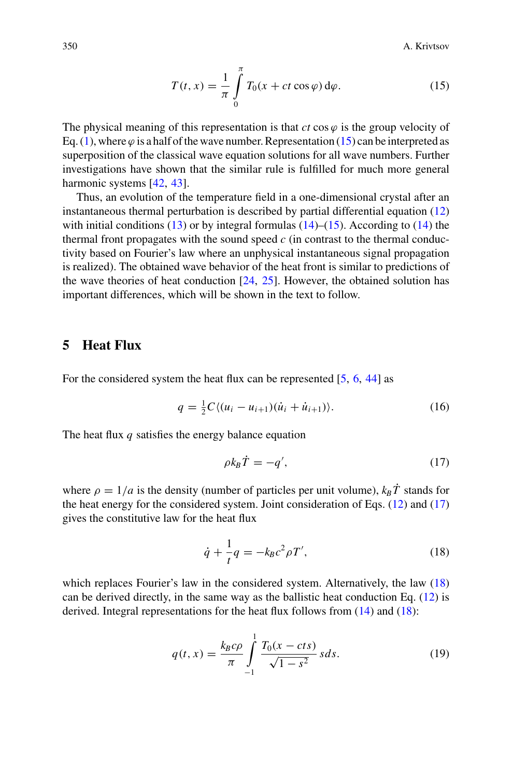$$
T(t,x) = \frac{1}{\pi} \int_{0}^{\pi} T_0(x + ct \cos \varphi) d\varphi.
$$
 (15)

The physical meaning of this representation is that  $ct \cos \varphi$  is the group velocity of Eq. [\(1\)](#page-7-0), where  $\varphi$  is a half of the wave number. Representation [\(15\)](#page-11-0) can be interpreted as superposition of the classical wave equation solutions for all wave numbers. Further investigations have shown that the similar rule is fulfilled for much more general harmonic systems [42, 43].

Thus, an evolution of the temperature field in a one-dimensional crystal after an instantaneous thermal perturbation is described by partial differential equation [\(12\)](#page-10-0) with initial conditions [\(13\)](#page-10-0) or by integral formulas  $(14)$ –[\(15\)](#page-11-0). According to (14) the thermal front propagates with the sound speed  $c$  (in contrast to the thermal conductivity based on Fourier's law where an unphysical instantaneous signal propagation is realized). The obtained wave behavior of the heat front is similar to predictions of the wave theories of heat conduction  $[24, 25]$ . However, the obtained solution has important differences, which will be shown in the text to follow.

## **5 Heat Flux**

For the considered system the heat flux can be represented [5, 6, 44] as

$$
q = \frac{1}{2}C\langle (u_i - u_{i+1})(\dot{u}_i + \dot{u}_{i+1})\rangle.
$$
 (16)

The heat flux *q* satisfies the energy balance equation

$$
\rho k_B \dot{T} = -q',\tag{17}
$$

where  $\rho = 1/a$  is the density (number of particles per unit volume),  $k_B T$  stands for the heat energy for the considered system. Joint consideration of Eqs. [\(12\)](#page-10-0) and [\(17\)](#page-11-0) gives the constitutive law for the heat flux

$$
\dot{q} + \frac{1}{t}q = -k_B c^2 \rho T',\qquad(18)
$$

which replaces Fourier's law in the considered system. Alternatively, the law  $(18)$ can be derived directly, in the same way as the ballistic heat conduction Eq. [\(12\)](#page-10-0) is derived. Integral representations for the heat flux follows from [\(14\)](#page-10-0) and [\(18\)](#page-11-0):

$$
q(t,x) = \frac{k_B c \rho}{\pi} \int_{-1}^{1} \frac{T_0(x - cts)}{\sqrt{1 - s^2}} s ds.
$$
 (19)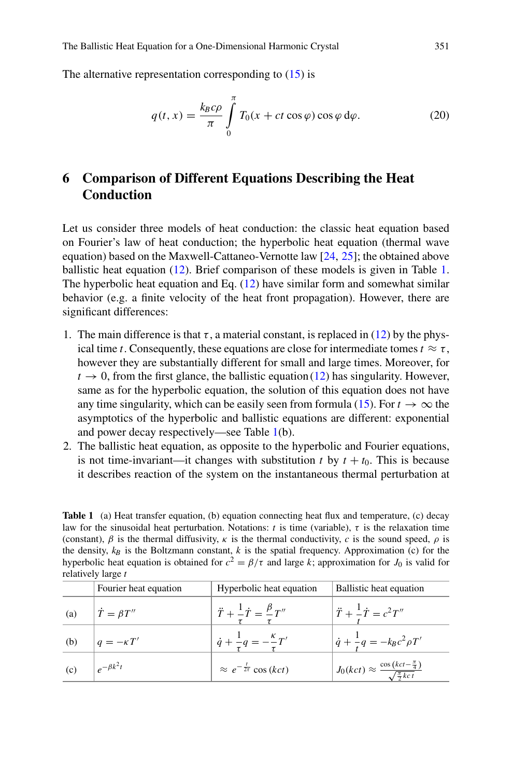The alternative representation corresponding to  $(15)$  is

$$
q(t,x) = \frac{k_B c\rho}{\pi} \int_{0}^{\pi} T_0(x + ct\cos\varphi)\cos\varphi \,d\varphi.
$$
 (20)

# **6 Comparison of Different Equations Describing the Heat Conduction**

Let us consider three models of heat conduction: the classic heat equation based on Fourier's law of heat conduction; the hyperbolic heat equation (thermal wave equation) based on the Maxwell-Cattaneo-Vernotte law [24, 25]; the obtained above ballistic heat equation [\(12\)](#page-10-0). Brief comparison of these models is given in Table [1.](#page-12-0) The hyperbolic heat equation and Eq.  $(12)$  have similar form and somewhat similar behavior (e.g. a finite velocity of the heat front propagation). However, there are significant differences:

- 1. The main difference is that  $\tau$ , a material constant, is replaced in [\(12\)](#page-10-0) by the physical time *t*. Consequently, these equations are close for intermediate tomes  $t \approx \tau$ . however they are substantially different for small and large times. Moreover, for  $t \to 0$ , from the first glance, the ballistic equation [\(12\)](#page-10-0) has singularity. However, same as for the hyperbolic equation, the solution of this equation does not have any time singularity, which can be easily seen from formula [\(15\)](#page-11-0). For  $t \to \infty$  the asymptotics of the hyperbolic and ballistic equations are different: exponential and power decay respectively—see Table [1\(](#page-12-0)b).
- 2. The ballistic heat equation, as opposite to the hyperbolic and Fourier equations, is not time-invariant—it changes with substitution *t* by  $t + t_0$ . This is because it describes reaction of the system on the instantaneous thermal perturbation at

**Table 1** (a) Heat transfer equation, (b) equation connecting heat flux and temperature, (c) decay law for the sinusoidal heat perturbation. Notations: *t* is time (variable),  $\tau$  is the relaxation time (constant),  $\beta$  is the thermal diffusivity,  $\kappa$  is the thermal conductivity, *c* is the sound speed,  $\rho$  is the density,  $k_B$  is the Boltzmann constant,  $k$  is the spatial frequency. Approximation (c) for the hyperbolic heat equation is obtained for  $c^2 = \beta/\tau$  and large *k*; approximation for *J*<sub>0</sub> is valid for relatively large *t*

|     | Fourier heat equation           | Hyperbolic heat equation                                   | <b>Ballistic</b> heat equation                                                |
|-----|---------------------------------|------------------------------------------------------------|-------------------------------------------------------------------------------|
| (a) | $\dot{T} = \beta T''$           | $\ddot{T} + \frac{1}{\tau}\dot{T} = \frac{\beta}{\tau}T''$ | $\ddot{T} + \frac{1}{t}\dot{T} = c^2T''$                                      |
| (b) | $q = -\kappa T'$                | $\dot{q} + \frac{1}{\tau}q = -\frac{k}{\tau}T'$            | $\dot{q} + \frac{1}{t}q = -k_B c^2 \rho T'$                                   |
| (c) | $\left e^{-\beta k^2 t}\right $ | $\approx e^{-\frac{t}{2\tau}} \cos(kct)$                   | $J_0(kct) \approx \frac{\cos (kct - \frac{\pi}{4})}{\sqrt{\frac{\pi}{2}kct}}$ |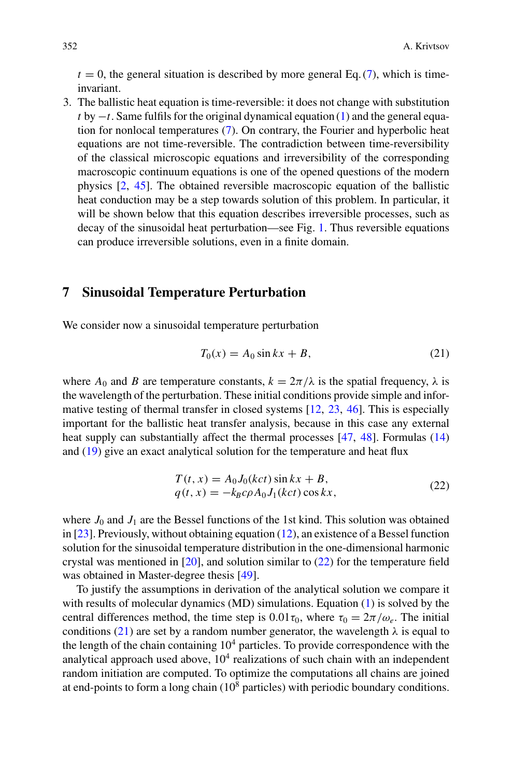<span id="page-7-0"></span> $t = 0$ , the general situation is described by more general Eq. [\(7\)](#page-9-0), which is timeinvariant.

3. The ballistic heat equation is time-reversible: it does not change with substitution *t* by −*t*. Same fulfils for the original dynamical equation (1) and the general equation for nonlocal temperatures [\(7\)](#page-9-0). On contrary, the Fourier and hyperbolic heat equations are not time-reversible. The contradiction between time-reversibility of the classical microscopic equations and irreversibility of the corresponding macroscopic continuum equations is one of the opened questions of the modern physics [2, 45]. The obtained reversible macroscopic equation of the ballistic heat conduction may be a step towards solution of this problem. In particular, it will be shown below that this equation describes irreversible processes, such as decay of the sinusoidal heat perturbation—see Fig. 1. Thus reversible equations can produce irreversible solutions, even in a finite domain.

### **7 Sinusoidal Temperature Perturbation**

We consider now a sinusoidal temperature perturbation

$$
T_0(x) = A_0 \sin kx + B,\tag{21}
$$

where  $A_0$  and *B* are temperature constants,  $k = 2\pi/\lambda$  is the spatial frequency,  $\lambda$  is the wavelength of the perturbation. These initial conditions provide simple and informative testing of thermal transfer in closed systems [12, 23, 46]. This is especially important for the ballistic heat transfer analysis, because in this case any external heat supply can substantially affect the thermal processes [47, 48]. Formulas [\(14\)](#page-10-0) and [\(19\)](#page-11-0) give an exact analytical solution for the temperature and heat flux

$$
T(t, x) = A_0 J_0(kct) \sin kx + B,
$$
  
\n
$$
q(t, x) = -k_B c \rho A_0 J_1(kct) \cos kx,
$$
\n(22)

where  $J_0$  and  $J_1$  are the Bessel functions of the 1st kind. This solution was obtained in [23]. Previously, without obtaining equation [\(12\)](#page-10-0), an existence of a Bessel function solution for the sinusoidal temperature distribution in the one-dimensional harmonic crystal was mentioned in  $[20]$ , and solution similar to  $(22)$  for the temperature field was obtained in Master-degree thesis [49].

To justify the assumptions in derivation of the analytical solution we compare it with results of molecular dynamics (MD) simulations. Equation (1) is solved by the central differences method, the time step is  $0.01\tau_0$ , where  $\tau_0 = 2\pi/\omega_e$ . The initial conditions [\(21\)](#page-13-0) are set by a random number generator, the wavelength  $\lambda$  is equal to the length of the chain containing  $10<sup>4</sup>$  particles. To provide correspondence with the analytical approach used above,  $10<sup>4</sup>$  realizations of such chain with an independent random initiation are computed. To optimize the computations all chains are joined at end-points to form a long chain  $(10^8 \text{ particles})$  with periodic boundary conditions.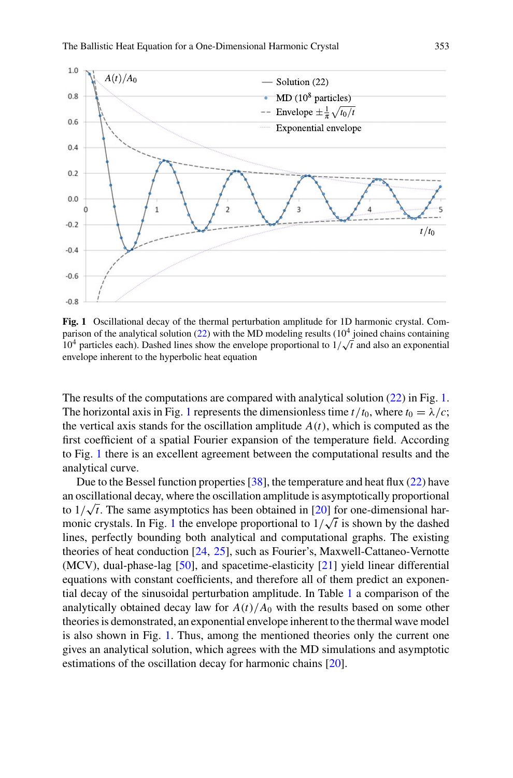<span id="page-8-0"></span>

**Fig. 1** Oscillational decay of the thermal perturbation amplitude for 1D harmonic crystal. Comparison of the analytical solution  $(22)$  with the MD modeling results  $(10^4)$  joined chains containing 10<sup>4</sup> particles each). Dashed lines show the envelope proportional to  $1/\sqrt{t}$  and also an exponential  $10^4$ envelope inherent to the hyperbolic heat equation

The results of the computations are compared with analytical solution [\(22\)](#page-13-0) in Fig. 1. The horizontal axis in Fig. 1 represents the dimensionless time  $t/t_0$ , where  $t_0 = \lambda/c$ ; the vertical axis stands for the oscillation amplitude  $A(t)$ , which is computed as the first coefficient of a spatial Fourier expansion of the temperature field. According to Fig. 1 there is an excellent agreement between the computational results and the analytical curve.

Due to the Bessel function properties  $[38]$ , the temperature and heat flux  $(22)$  have an oscillational decay, where the oscillation amplitude is asymptotically proportional to  $1/\sqrt{t}$ . The same asymptotics has been obtained in [20] for one-dimensional harmonic crystals. In Fig. 1 the envelope proportional to  $1/\sqrt{t}$  is shown by the dashed lines, perfectly bounding both analytical and computational graphs. The existing theories of heat conduction [24, 25], such as Fourier's, Maxwell-Cattaneo-Vernotte (MCV), dual-phase-lag [50], and spacetime-elasticity [21] yield linear differential equations with constant coefficients, and therefore all of them predict an exponential decay of the sinusoidal perturbation amplitude. In Table [1](#page-12-0) a comparison of the analytically obtained decay law for  $A(t)/A_0$  with the results based on some other theories is demonstrated, an exponential envelope inherent to the thermal wave model is also shown in Fig. 1. Thus, among the mentioned theories only the current one gives an analytical solution, which agrees with the MD simulations and asymptotic estimations of the oscillation decay for harmonic chains [20].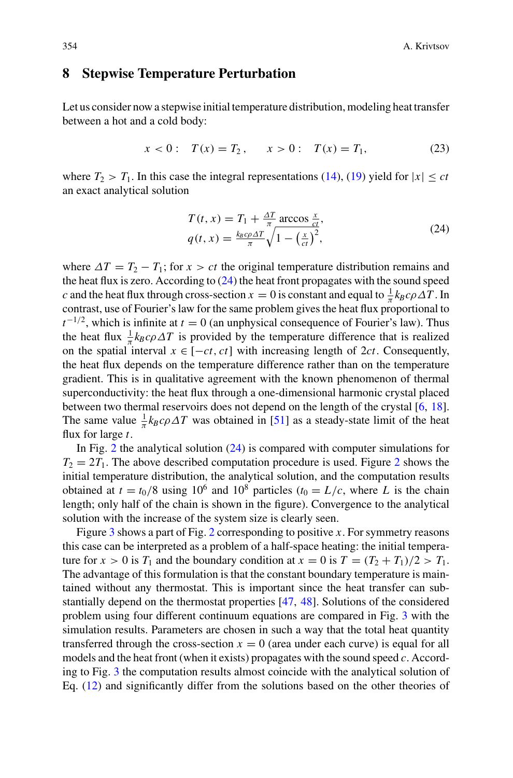### <span id="page-9-0"></span>**8 Stepwise Temperature Perturbation**

Let us consider now a stepwise initial temperature distribution, modeling heat transfer between a hot and a cold body:

$$
x < 0: \quad T(x) = T_2, \qquad x > 0: \quad T(x) = T_1,\tag{23}
$$

where  $T_2 > T_1$ . In this case the integral representations [\(14\)](#page-10-0), [\(19\)](#page-11-0) yield for  $|x| \le ct$ an exact analytical solution

$$
T(t, x) = T_1 + \frac{\Delta T}{\pi} \arccos \frac{x}{ct},
$$
  
\n
$$
q(t, x) = \frac{k_B c \rho \Delta T}{\pi} \sqrt{1 - \left(\frac{x}{ct}\right)^2},
$$
\n(24)

where  $\Delta T = T_2 - T_1$ ; for  $x > ct$  the original temperature distribution remains and the heat flux is zero. According to  $(24)$  the heat front propagates with the sound speed *c* and the heat flux through cross-section  $x = 0$  is constant and equal to  $\frac{1}{\pi} k_B c \rho \Delta T$ . In contrast, use of Fourier's law for the same problem gives the heat flux proportional to  $t^{-1/2}$ , which is infinite at  $t = 0$  (an unphysical consequence of Fourier's law). Thus the heat flux  $\frac{1}{\pi} k_B c \rho \Delta T$  is provided by the temperature difference that is realized on the spatial interval  $x \in [-ct, ct]$  with increasing length of 2*ct*. Consequently, the heat flux depends on the temperature difference rather than on the temperature gradient. This is in qualitative agreement with the known phenomenon of thermal superconductivity: the heat flux through a one-dimensional harmonic crystal placed between two thermal reservoirs does not depend on the length of the crystal [6, 18]. The same value  $\frac{1}{\pi} k_B c \rho \Delta T$  was obtained in [51] as a steady-state limit of the heat flux for large *t*.

In Fig. 2 the analytical solution  $(24)$  is compared with computer simulations for  $T_2 = 2T_1$ . The above described computation procedure is used. Figure 2 shows the initial temperature distribution, the analytical solution, and the computation results obtained at  $t = t_0/8$  using 10<sup>6</sup> and 10<sup>8</sup> particles ( $t_0 = L/c$ , where *L* is the chain length; only half of the chain is shown in the figure). Convergence to the analytical solution with the increase of the system size is clearly seen.

Figure 3 shows a part of Fig. 2 corresponding to positive *x*. For symmetry reasons this case can be interpreted as a problem of a half-space heating: the initial temperature for  $x > 0$  is  $T_1$  and the boundary condition at  $x = 0$  is  $T = (T_2 + T_1)/2 > T_1$ . The advantage of this formulation is that the constant boundary temperature is maintained without any thermostat. This is important since the heat transfer can substantially depend on the thermostat properties [47, 48]. Solutions of the considered problem using four different continuum equations are compared in Fig. 3 with the simulation results. Parameters are chosen in such a way that the total heat quantity transferred through the cross-section  $x = 0$  (area under each curve) is equal for all models and the heat front (when it exists) propagates with the sound speed *c*. According to Fig. 3 the computation results almost coincide with the analytical solution of Eq. [\(12\)](#page-10-0) and significantly differ from the solutions based on the other theories of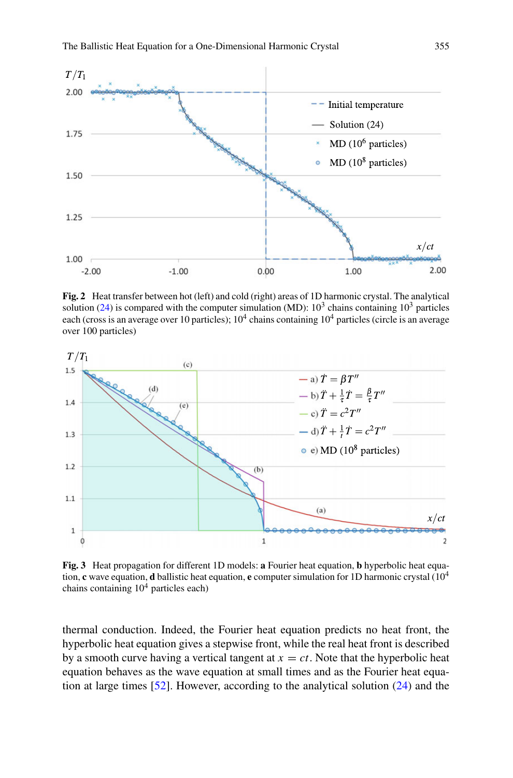<span id="page-10-0"></span>

**Fig. 2** Heat transfer between hot (left) and cold (right) areas of 1D harmonic crystal. The analytical solution (24) is compared with the computer simulation (MD):  $10^3$  chains containing  $10^3$  particles each (cross is an average over 10 particles);  $10^4$  chains containing  $10^4$  particles (circle is an average over 100 particles)



**Fig. 3** Heat propagation for different 1D models: **a** Fourier heat equation, **b** hyperbolic heat equation, **c** wave equation, **d** ballistic heat equation, **e** computer simulation for 1D harmonic crystal (10<sup>4</sup> chains containing  $10<sup>4</sup>$  particles each)

thermal conduction. Indeed, the Fourier heat equation predicts no heat front, the hyperbolic heat equation gives a stepwise front, while the real heat front is described by a smooth curve having a vertical tangent at  $x = ct$ . Note that the hyperbolic heat equation behaves as the wave equation at small times and as the Fourier heat equation at large times  $[52]$ . However, according to the analytical solution  $(24)$  and the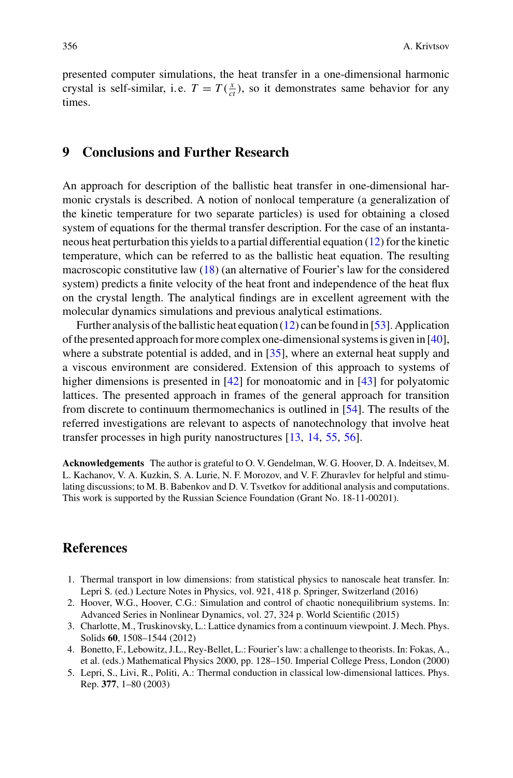<span id="page-11-0"></span>presented computer simulations, the heat transfer in a one-dimensional harmonic crystal is self-similar, i.e.  $T = T(\frac{x}{ct})$ , so it demonstrates same behavior for any times.

## **9 Conclusions and Further Research**

An approach for description of the ballistic heat transfer in one-dimensional harmonic crystals is described. A notion of nonlocal temperature (a generalization of the kinetic temperature for two separate particles) is used for obtaining a closed system of equations for the thermal transfer description. For the case of an instantaneous heat perturbation this yields to a partial differential equation [\(12\)](#page-10-0) for the kinetic temperature, which can be referred to as the ballistic heat equation. The resulting macroscopic constitutive law (18) (an alternative of Fourier's law for the considered system) predicts a finite velocity of the heat front and independence of the heat flux on the crystal length. The analytical findings are in excellent agreement with the molecular dynamics simulations and previous analytical estimations.

Further analysis of the ballistic heat equation  $(12)$  can be found in [53]. Application of the presented approach for more complex one-dimensional systems is given in [40], where a substrate potential is added, and in [35], where an external heat supply and a viscous environment are considered. Extension of this approach to systems of higher dimensions is presented in [42] for monoatomic and in [43] for polyatomic lattices. The presented approach in frames of the general approach for transition from discrete to continuum thermomechanics is outlined in [54]. The results of the referred investigations are relevant to aspects of nanotechnology that involve heat transfer processes in high purity nanostructures [13, 14, 55, 56].

**Acknowledgements** The author is grateful to O. V. Gendelman, W. G. Hoover, D. A. Indeitsev, M. L. Kachanov, V. A. Kuzkin, S. A. Lurie, N. F. Morozov, and V. F. Zhuravlev for helpful and stimulating discussions; to M. B. Babenkov and D. V. Tsvetkov for additional analysis and computations. This work is supported by the Russian Science Foundation (Grant No. 18-11-00201).

### **References**

- 1. Thermal transport in low dimensions: from statistical physics to nanoscale heat transfer. In: Lepri S. (ed.) Lecture Notes in Physics, vol. 921, 418 p. Springer, Switzerland (2016)
- 2. Hoover, W.G., Hoover, C.G.: Simulation and control of chaotic nonequilibrium systems. In: Advanced Series in Nonlinear Dynamics, vol. 27, 324 p. World Scientific (2015)
- 3. Charlotte, M., Truskinovsky, L.: Lattice dynamics from a continuum viewpoint. J. Mech. Phys. Solids **60**, 1508–1544 (2012)
- 4. Bonetto, F., Lebowitz, J.L., Rey-Bellet, L.: Fourier's law: a challenge to theorists. In: Fokas, A., et al. (eds.) Mathematical Physics 2000, pp. 128–150. Imperial College Press, London (2000)
- 5. Lepri, S., Livi, R., Politi, A.: Thermal conduction in classical low-dimensional lattices. Phys. Rep. **377**, 1–80 (2003)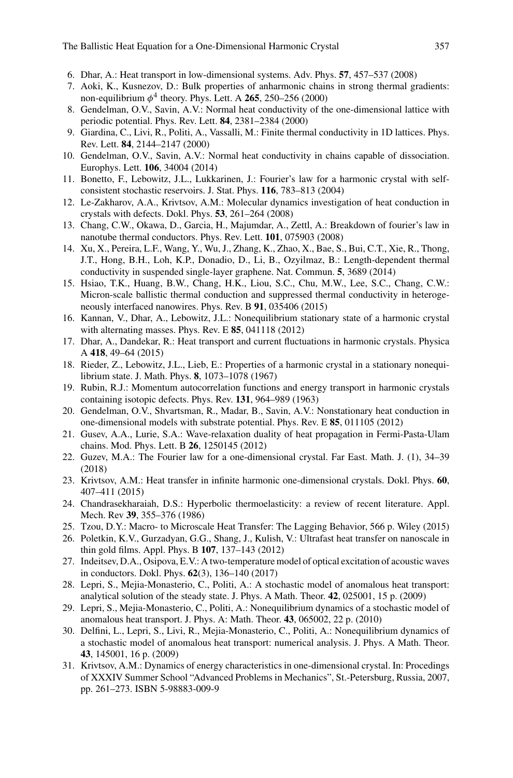- <span id="page-12-0"></span>6. Dhar, A.: Heat transport in low-dimensional systems. Adv. Phys. **57**, 457–537 (2008)
- 7. Aoki, K., Kusnezov, D.: Bulk properties of anharmonic chains in strong thermal gradients: non-equilibrium  $\phi^4$  theory. Phys. Lett. A **265**, 250–256 (2000)
- 8. Gendelman, O.V., Savin, A.V.: Normal heat conductivity of the one-dimensional lattice with periodic potential. Phys. Rev. Lett. **84**, 2381–2384 (2000)
- 9. Giardina, C., Livi, R., Politi, A., Vassalli, M.: Finite thermal conductivity in 1D lattices. Phys. Rev. Lett. **84**, 2144–2147 (2000)
- 10. Gendelman, O.V., Savin, A.V.: Normal heat conductivity in chains capable of dissociation. Europhys. Lett. **106**, 34004 (2014)
- 11. Bonetto, F., Lebowitz, J.L., Lukkarinen, J.: Fourier's law for a harmonic crystal with selfconsistent stochastic reservoirs. J. Stat. Phys. **116**, 783–813 (2004)
- 12. Le-Zakharov, A.A., Krivtsov, A.M.: Molecular dynamics investigation of heat conduction in crystals with defects. Dokl. Phys. **53**, 261–264 (2008)
- 13. Chang, C.W., Okawa, D., Garcia, H., Majumdar, A., Zettl, A.: Breakdown of fourier's law in nanotube thermal conductors. Phys. Rev. Lett. **101**, 075903 (2008)
- 14. Xu, X., Pereira, L.F., Wang, Y., Wu, J., Zhang, K., Zhao, X., Bae, S., Bui, C.T., Xie, R., Thong, J.T., Hong, B.H., Loh, K.P., Donadio, D., Li, B., Ozyilmaz, B.: Length-dependent thermal conductivity in suspended single-layer graphene. Nat. Commun. **5**, 3689 (2014)
- 15. Hsiao, T.K., Huang, B.W., Chang, H.K., Liou, S.C., Chu, M.W., Lee, S.C., Chang, C.W.: Micron-scale ballistic thermal conduction and suppressed thermal conductivity in heterogeneously interfaced nanowires. Phys. Rev. B **91**, 035406 (2015)
- 16. Kannan, V., Dhar, A., Lebowitz, J.L.: Nonequilibrium stationary state of a harmonic crystal with alternating masses. Phys. Rev. E **85**, 041118 (2012)
- 17. Dhar, A., Dandekar, R.: Heat transport and current fluctuations in harmonic crystals. Physica A **418**, 49–64 (2015)
- 18. Rieder, Z., Lebowitz, J.L., Lieb, E.: Properties of a harmonic crystal in a stationary nonequilibrium state. J. Math. Phys. **8**, 1073–1078 (1967)
- 19. Rubin, R.J.: Momentum autocorrelation functions and energy transport in harmonic crystals containing isotopic defects. Phys. Rev. **131**, 964–989 (1963)
- 20. Gendelman, O.V., Shvartsman, R., Madar, B., Savin, A.V.: Nonstationary heat conduction in one-dimensional models with substrate potential. Phys. Rev. E **85**, 011105 (2012)
- 21. Gusev, A.A., Lurie, S.A.: Wave-relaxation duality of heat propagation in Fermi-Pasta-Ulam chains. Mod. Phys. Lett. B **26**, 1250145 (2012)
- 22. Guzev, M.A.: The Fourier law for a one-dimensional crystal. Far East. Math. J. (1), 34–39 (2018)
- 23. Krivtsov, A.M.: Heat transfer in infinite harmonic one-dimensional crystals. Dokl. Phys. **60**, 407–411 (2015)
- 24. Chandrasekharaiah, D.S.: Hyperbolic thermoelasticity: a review of recent literature. Appl. Mech. Rev **39**, 355–376 (1986)
- 25. Tzou, D.Y.: Macro- to Microscale Heat Transfer: The Lagging Behavior, 566 p. Wiley (2015)
- 26. Poletkin, K.V., Gurzadyan, G.G., Shang, J., Kulish, V.: Ultrafast heat transfer on nanoscale in thin gold films. Appl. Phys. B **107**, 137–143 (2012)
- 27. Indeitsev, D.A., Osipova, E.V.: A two-temperature model of optical excitation of acoustic waves in conductors. Dokl. Phys. **62**(3), 136–140 (2017)
- 28. Lepri, S., Mejia-Monasterio, C., Politi, A.: A stochastic model of anomalous heat transport: analytical solution of the steady state. J. Phys. A Math. Theor. **42**, 025001, 15 p. (2009)
- 29. Lepri, S., Mejia-Monasterio, C., Politi, A.: Nonequilibrium dynamics of a stochastic model of anomalous heat transport. J. Phys. A: Math. Theor. **43**, 065002, 22 p. (2010)
- 30. Delfini, L., Lepri, S., Livi, R., Mejia-Monasterio, C., Politi, A.: Nonequilibrium dynamics of a stochastic model of anomalous heat transport: numerical analysis. J. Phys. A Math. Theor. **43**, 145001, 16 p. (2009)
- 31. Krivtsov, A.M.: Dynamics of energy characteristics in one-dimensional crystal. In: Procedings of XXXIV Summer School "Advanced Problems in Mechanics", St.-Petersburg, Russia, 2007, pp. 261–273. ISBN 5-98883-009-9